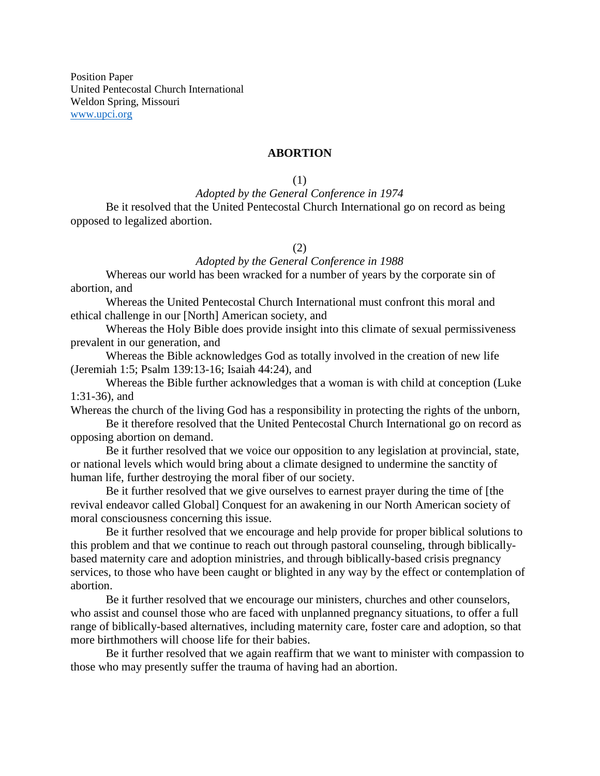Position Paper United Pentecostal Church International Weldon Spring, Missouri [www.upci.org](http://www.upci.org/)

### **ABORTION**

(1)

## *Adopted by the General Conference in 1974*

Be it resolved that the United Pentecostal Church International go on record as being opposed to legalized abortion.

### (2)

#### *Adopted by the General Conference in 1988*

Whereas our world has been wracked for a number of years by the corporate sin of abortion, and

Whereas the United Pentecostal Church International must confront this moral and ethical challenge in our [North] American society, and

Whereas the Holy Bible does provide insight into this climate of sexual permissiveness prevalent in our generation, and

Whereas the Bible acknowledges God as totally involved in the creation of new life (Jeremiah 1:5; Psalm 139:13-16; Isaiah 44:24), and

Whereas the Bible further acknowledges that a woman is with child at conception (Luke 1:31-36), and

Whereas the church of the living God has a responsibility in protecting the rights of the unborn,

Be it therefore resolved that the United Pentecostal Church International go on record as opposing abortion on demand.

Be it further resolved that we voice our opposition to any legislation at provincial, state, or national levels which would bring about a climate designed to undermine the sanctity of human life, further destroying the moral fiber of our society.

Be it further resolved that we give ourselves to earnest prayer during the time of [the revival endeavor called Global] Conquest for an awakening in our North American society of moral consciousness concerning this issue.

Be it further resolved that we encourage and help provide for proper biblical solutions to this problem and that we continue to reach out through pastoral counseling, through biblicallybased maternity care and adoption ministries, and through biblically-based crisis pregnancy services, to those who have been caught or blighted in any way by the effect or contemplation of abortion.

Be it further resolved that we encourage our ministers, churches and other counselors, who assist and counsel those who are faced with unplanned pregnancy situations, to offer a full range of biblically-based alternatives, including maternity care, foster care and adoption, so that more birthmothers will choose life for their babies.

Be it further resolved that we again reaffirm that we want to minister with compassion to those who may presently suffer the trauma of having had an abortion.